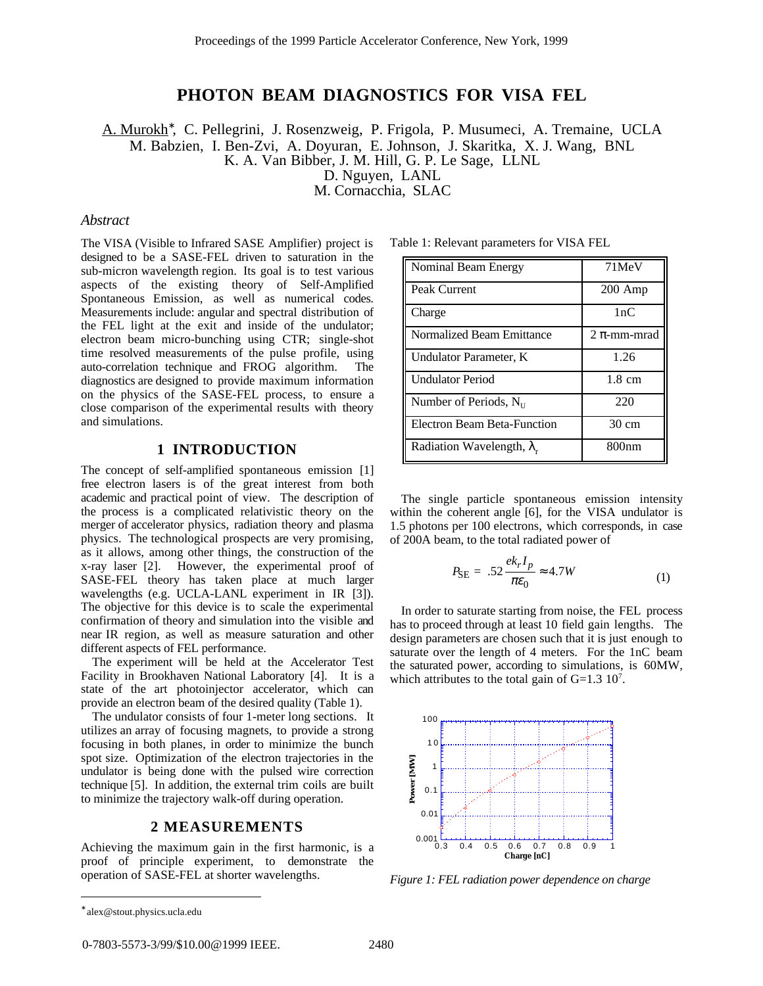# **PHOTON BEAM DIAGNOSTICS FOR VISA FEL**

A. Murokh<sup>\*</sup>, C. Pellegrini, J. Rosenzweig, P. Frigola, P. Musumeci, A. Tremaine, UCLA M. Babzien, I. Ben-Zvi, A. Doyuran, E. Johnson, J. Skaritka, X. J. Wang, BNL K. A. Van Bibber, J. M. Hill, G. P. Le Sage, LLNL D. Nguyen, LANL M. Cornacchia, SLAC

# *Abstract*

The VISA (Visible to Infrared SASE Amplifier) project is designed to be a SASE-FEL driven to saturation in the sub-micron wavelength region. Its goal is to test various aspects of the existing theory of Self-Amplified Spontaneous Emission, as well as numerical codes. Measurements include: angular and spectral distribution of the FEL light at the exit and inside of the undulator; electron beam micro-bunching using CTR; single-shot time resolved measurements of the pulse profile, using auto-correlation technique and FROG algorithm. The diagnostics are designed to provide maximum information on the physics of the SASE-FEL process, to ensure a close comparison of the experimental results with theory and simulations.

# **1 INTRODUCTION**

The concept of self-amplified spontaneous emission [1] free electron lasers is of the great interest from both academic and practical point of view. The description of the process is a complicated relativistic theory on the merger of accelerator physics, radiation theory and plasma physics. The technological prospects are very promising, as it allows, among other things, the construction of the x-ray laser [2]. However, the experimental proof of SASE-FEL theory has taken place at much larger wavelengths (e.g. UCLA-LANL experiment in IR [3]). The objective for this device is to scale the experimental confirmation of theory and simulation into the visible and near IR region, as well as measure saturation and other different aspects of FEL performance.

The experiment will be held at the Accelerator Test Facility in Brookhaven National Laboratory [4]. It is a state of the art photoinjector accelerator, which can provide an electron beam of the desired quality (Table 1).

The undulator consists of four 1-meter long sections. It utilizes an array of focusing magnets, to provide a strong focusing in both planes, in order to minimize the bunch spot size. Optimization of the electron trajectories in the undulator is being done with the pulsed wire correction technique [5]. In addition, the external trim coils are built to minimize the trajectory walk-off during operation.

#### **2 MEASUREMENTS**

Achieving the maximum gain in the first harmonic, is a proof of principle experiment, to demonstrate the operation of SASE-FEL at shorter wavelengths.

| Nominal Beam Energy                | 71MeV            |
|------------------------------------|------------------|
| Peak Current                       | $200$ Amp        |
| Charge                             | 1nC              |
| Normalized Beam Emittance          | $2 \pi$ -mm-mrad |
| Undulator Parameter, K             | 1.26             |
| <b>Undulator Period</b>            | $1.8 \text{ cm}$ |
| Number of Periods, $N_{\text{II}}$ | 220              |
| <b>Electron Beam Beta-Function</b> | $30 \text{ cm}$  |
| Radiation Wavelength, $\lambda$ .  | 800nm            |

The single particle spontaneous emission intensity within the coherent angle [6], for the VISA undulator is 1.5 photons per 100 electrons, which corresponds, in case of 200A beam, to the total radiated power of

$$
P_{\rm SE} = .52 \frac{ek_r I_p}{\pi \epsilon_0} \approx 4.7W \tag{1}
$$

In order to saturate starting from noise, the FEL process has to proceed through at least 10 field gain lengths. The design parameters are chosen such that it is just enough to saturate over the length of 4 meters. For the 1nC beam the saturated power, according to simulations, is 60MW, which attributes to the total gain of  $G=1.3 \, 10^7$ .



*Figure 1: FEL radiation power dependence on charge*

 $\overline{a}$ 

<sup>∗</sup> alex@stout.physics.ucla.edu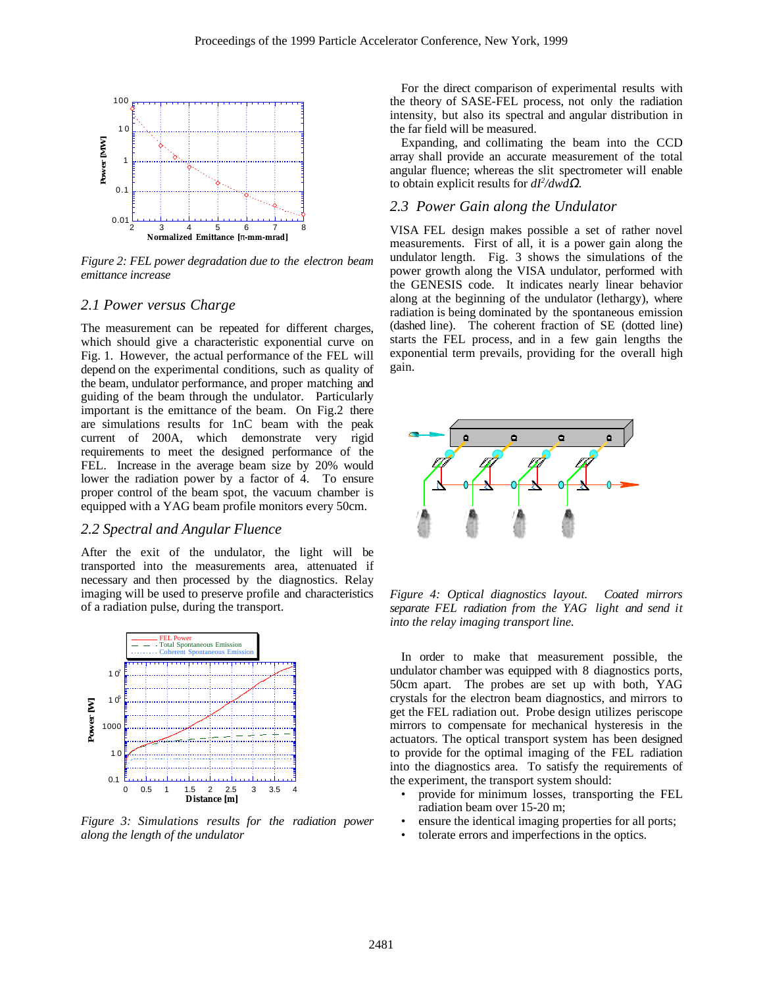

*Figure 2: FEL power degradation due to the electron beam emittance increase*

#### *2.1 Power versus Charge*

The measurement can be repeated for different charges, which should give a characteristic exponential curve on Fig. 1. However, the actual performance of the FEL will depend on the experimental conditions, such as quality of the beam, undulator performance, and proper matching and guiding of the beam through the undulator. Particularly important is the emittance of the beam. On Fig.2 there are simulations results for 1nC beam with the peak current of 200A, which demonstrate very rigid requirements to meet the designed performance of the FEL. Increase in the average beam size by 20% would lower the radiation power by a factor of 4. To ensure proper control of the beam spot, the vacuum chamber is equipped with a YAG beam profile monitors every 50cm.

# *2.2 Spectral and Angular Fluence*

After the exit of the undulator, the light will be transported into the measurements area, attenuated if necessary and then processed by the diagnostics. Relay imaging will be used to preserve profile and characteristics of a radiation pulse, during the transport.



*Figure 3: Simulations results for the radiation power along the length of the undulator*

For the direct comparison of experimental results with the theory of SASE-FEL process, not only the radiation intensity, but also its spectral and angular distribution in the far field will be measured.

Expanding, and collimating the beam into the CCD array shall provide an accurate measurement of the total angular fluence; whereas the slit spectrometer will enable to obtain explicit results for *dI2 /dwd*Ω.

#### *2.3 Power Gain along the Undulator*

VISA FEL design makes possible a set of rather novel measurements. First of all, it is a power gain along the undulator length. Fig. 3 shows the simulations of the power growth along the VISA undulator, performed with the GENESIS code. It indicates nearly linear behavior along at the beginning of the undulator (lethargy), where radiation is being dominated by the spontaneous emission (dashed line). The coherent fraction of SE (dotted line) starts the FEL process, and in a few gain lengths the exponential term prevails, providing for the overall high gain.



*Figure 4: Optical diagnostics layout. Coated mirrors separate FEL radiation from the YAG light and send it into the relay imaging transport line.*

In order to make that measurement possible, the undulator chamber was equipped with 8 diagnostics ports, 50cm apart. The probes are set up with both, YAG crystals for the electron beam diagnostics, and mirrors to get the FEL radiation out. Probe design utilizes periscope mirrors to compensate for mechanical hysteresis in the actuators. The optical transport system has been designed to provide for the optimal imaging of the FEL radiation into the diagnostics area. To satisfy the requirements of the experiment, the transport system should:

- provide for minimum losses, transporting the FEL radiation beam over 15-20 m;
- ensure the identical imaging properties for all ports;
- tolerate errors and imperfections in the optics.